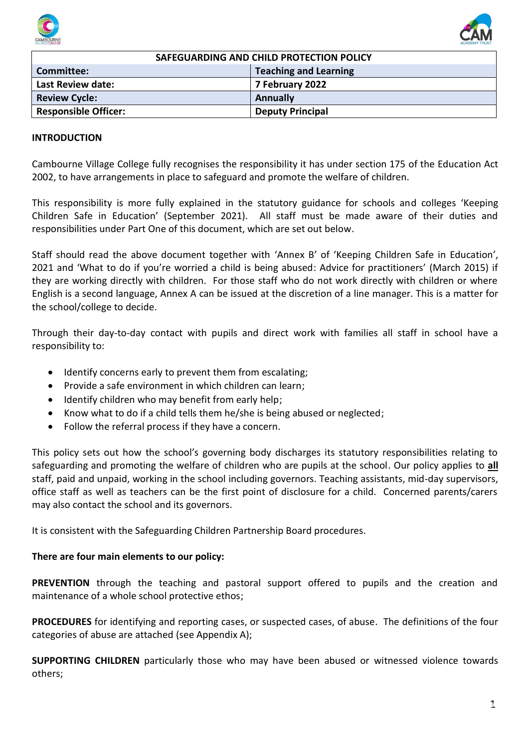



| SAFEGUARDING AND CHILD PROTECTION POLICY |                              |  |
|------------------------------------------|------------------------------|--|
| Committee:                               | <b>Teaching and Learning</b> |  |
| <b>Last Review date:</b>                 | 7 February 2022              |  |
| <b>Review Cycle:</b>                     | Annually                     |  |
| <b>Responsible Officer:</b>              | <b>Deputy Principal</b>      |  |

#### **INTRODUCTION**

Cambourne Village College fully recognises the responsibility it has under section 175 of the Education Act 2002, to have arrangements in place to safeguard and promote the welfare of children.

This responsibility is more fully explained in the statutory guidance for schools and colleges 'Keeping Children Safe in Education' (September 2021). All staff must be made aware of their duties and responsibilities under Part One of this document, which are set out below.

Staff should read the above document together with 'Annex B' of 'Keeping Children Safe in Education', 2021 and 'What to do if you're worried a child is being abused: Advice for practitioners' (March 2015) if they are working directly with children. For those staff who do not work directly with children or where English is a second language, Annex A can be issued at the discretion of a line manager. This is a matter for the school/college to decide.

Through their day-to-day contact with pupils and direct work with families all staff in school have a responsibility to:

- Identify concerns early to prevent them from escalating;
- Provide a safe environment in which children can learn;
- Identify children who may benefit from early help;
- Know what to do if a child tells them he/she is being abused or neglected;
- Follow the referral process if they have a concern.

This policy sets out how the school's governing body discharges its statutory responsibilities relating to safeguarding and promoting the welfare of children who are pupils at the school. Our policy applies to **all** staff, paid and unpaid, working in the school including governors. Teaching assistants, mid-day supervisors, office staff as well as teachers can be the first point of disclosure for a child. Concerned parents/carers may also contact the school and its governors.

It is consistent with the Safeguarding Children Partnership Board procedures.

# **There are four main elements to our policy:**

**PREVENTION** through the teaching and pastoral support offered to pupils and the creation and maintenance of a whole school protective ethos;

**PROCEDURES** for identifying and reporting cases, or suspected cases, of abuse. The definitions of the four categories of abuse are attached (see Appendix A);

**SUPPORTING CHILDREN** particularly those who may have been abused or witnessed violence towards others;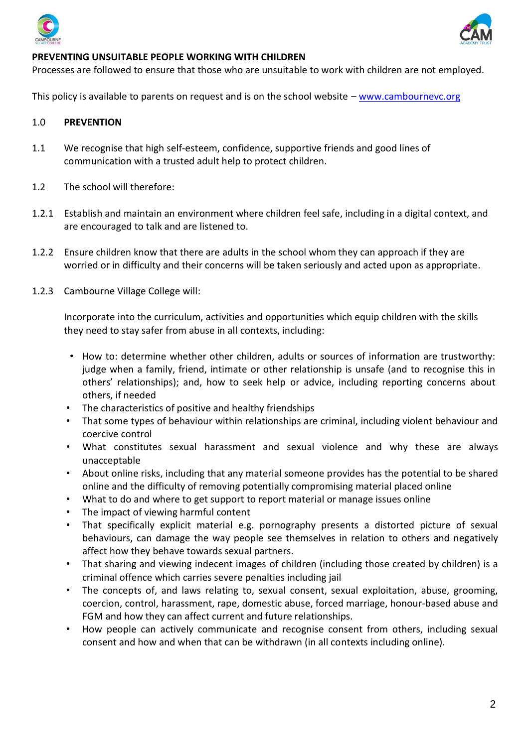



# **PREVENTING UNSUITABLE PEOPLE WORKING WITH CHILDREN**

Processes are followed to ensure that those who are unsuitable to work with children are not employed.

This policy is available to parents on request and is on the school website – [www.cambournevc.org](http://www.cambournevc.org/)

#### 1.0 **PREVENTION**

- 1.1 We recognise that high self-esteem, confidence, supportive friends and good lines of communication with a trusted adult help to protect children.
- 1.2 The school will therefore:
- 1.2.1 Establish and maintain an environment where children feel safe, including in a digital context, and are encouraged to talk and are listened to.
- 1.2.2 Ensure children know that there are adults in the school whom they can approach if they are worried or in difficulty and their concerns will be taken seriously and acted upon as appropriate.
- 1.2.3 Cambourne Village College will:

Incorporate into the curriculum, activities and opportunities which equip children with the skills they need to stay safer from abuse in all contexts, including:

- How to: determine whether other children, adults or sources of information are trustworthy: judge when a family, friend, intimate or other relationship is unsafe (and to recognise this in others' relationships); and, how to seek help or advice, including reporting concerns about others, if needed
- The characteristics of positive and healthy friendships
- That some types of behaviour within relationships are criminal, including violent behaviour and coercive control
- What constitutes sexual harassment and sexual violence and why these are always unacceptable
- About online risks, including that any material someone provides has the potential to be shared online and the difficulty of removing potentially compromising material placed online
- What to do and where to get support to report material or manage issues online
- The impact of viewing harmful content
- That specifically explicit material e.g. pornography presents a distorted picture of sexual behaviours, can damage the way people see themselves in relation to others and negatively affect how they behave towards sexual partners.
- That sharing and viewing indecent images of children (including those created by children) is a criminal offence which carries severe penalties including jail
- The concepts of, and laws relating to, sexual consent, sexual exploitation, abuse, grooming, coercion, control, harassment, rape, domestic abuse, forced marriage, honour-based abuse and FGM and how they can affect current and future relationships.
- How people can actively communicate and recognise consent from others, including sexual consent and how and when that can be withdrawn (in all contexts including online).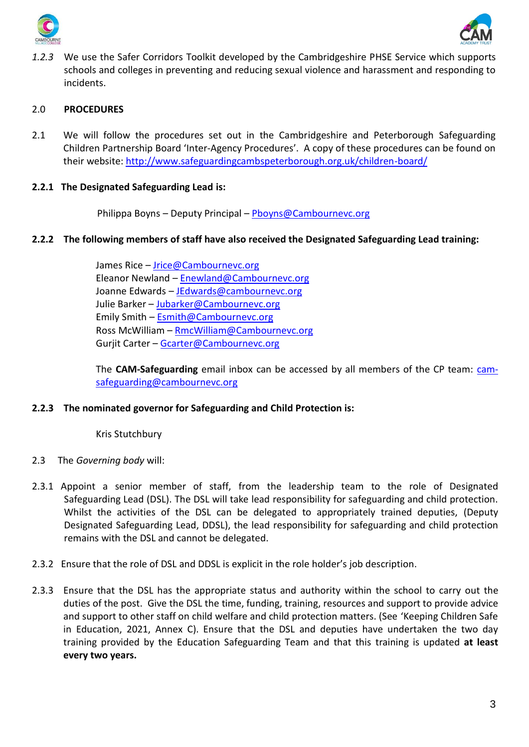



*1.2.3* We use the Safer Corridors Toolkit developed by the Cambridgeshire PHSE Service which supports schools and colleges in preventing and reducing sexual violence and harassment and responding to incidents.

### 2.0 **PROCEDURES**

2.1 We will follow the procedures set out in the Cambridgeshire and Peterborough Safeguarding Children Partnership Board 'Inter-Agency Procedures'. A copy of these procedures can be found on their website: <http://www.safeguardingcambspeterborough.org.uk/children-board/>

### **2.2.1 The Designated Safeguarding Lead is:**

Philippa Boyns – Deputy Principal – [Pboyns@Cambournevc.org](mailto:Pboyns@Cambournevc.org)

#### **2.2.2 The following members of staff have also received the Designated Safeguarding Lead training:**

James Rice – [Jrice@Cambournevc.org](mailto:Jrice@Cambournevc.org) Eleanor Newland – [Enewland@Cambournevc.org](mailto:Enewland@Cambournevc.org) Joanne Edwards – [JEdwards@cambournevc.org](mailto:JEdwards@cambournevc.org) Julie Barker - [Jubarker@Cambournevc.org](mailto:Jubarker@Cambournevc.org) Emily Smith – [Esmith@Cambournevc.org](mailto:Esmith@Cambournevc.org) Ross McWilliam – [RmcWilliam@Cambournevc.org](mailto:RmcWilliam@Cambournevc.org) Gurjit Carter – [Gcarter@Cambournevc.org](mailto:Gcarter@Cambournevc.org)

The **CAM-Safeguarding** email inbox can be accessed by all members of the CP team: [cam](mailto:cam-safeguarding@cambournevc.org)[safeguarding@cambournevc.org](mailto:cam-safeguarding@cambournevc.org)

#### **2.2.3 The nominated governor for Safeguarding and Child Protection is:**

Kris Stutchbury

#### 2.3 The *Governing body* will:

- 2.3.1 Appoint a senior member of staff, from the leadership team to the role of Designated Safeguarding Lead (DSL). The DSL will take lead responsibility for safeguarding and child protection. Whilst the activities of the DSL can be delegated to appropriately trained deputies, (Deputy Designated Safeguarding Lead, DDSL), the lead responsibility for safeguarding and child protection remains with the DSL and cannot be delegated.
- 2.3.2 Ensure that the role of DSL and DDSL is explicit in the role holder's job description.
- 2.3.3 Ensure that the DSL has the appropriate status and authority within the school to carry out the duties of the post. Give the DSL the time, funding, training, resources and support to provide advice and support to other staff on child welfare and child protection matters. (See 'Keeping Children Safe in Education, 2021, Annex C). Ensure that the DSL and deputies have undertaken the two day training provided by the Education Safeguarding Team and that this training is updated **at least every two years.**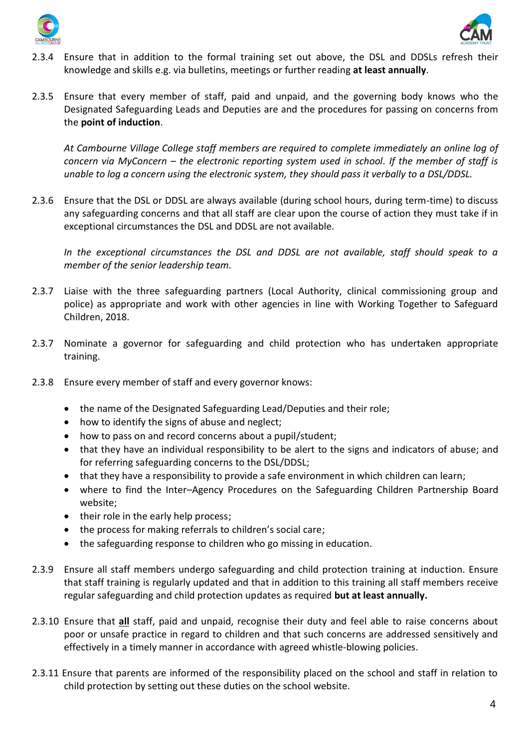



- 2.3.4 Ensure that in addition to the formal training set out above, the DSL and DDSLs refresh their knowledge and skills e.g. via bulletins, meetings or further reading **at least annually**.
- 2.3.5 Ensure that every member of staff, paid and unpaid, and the governing body knows who the Designated Safeguarding Leads and Deputies are and the procedures for passing on concerns from the **point of induction**.

*At Cambourne Village College staff members are required to complete immediately an online log of concern via MyConcern – the electronic reporting system used in school. If the member of staff is unable to log a concern using the electronic system, they should pass it verbally to a DSL/DDSL.*

2.3.6 Ensure that the DSL or DDSL are always available (during school hours, during term-time) to discuss any safeguarding concerns and that all staff are clear upon the course of action they must take if in exceptional circumstances the DSL and DDSL are not available.

*In the exceptional circumstances the DSL and DDSL are not available, staff should speak to a member of the senior leadership team.*

- 2.3.7 Liaise with the three safeguarding partners (Local Authority, clinical commissioning group and police) as appropriate and work with other agencies in line with Working Together to Safeguard Children, 2018.
- 2.3.7 Nominate a governor for safeguarding and child protection who has undertaken appropriate training.
- 2.3.8 Ensure every member of staff and every governor knows:
	- the name of the Designated Safeguarding Lead/Deputies and their role;
	- how to identify the signs of abuse and neglect;
	- how to pass on and record concerns about a pupil/student;
	- that they have an individual responsibility to be alert to the signs and indicators of abuse; and for referring safeguarding concerns to the DSL/DDSL;
	- that they have a responsibility to provide a safe environment in which children can learn;
	- where to find the Inter–Agency Procedures on the Safeguarding Children Partnership Board website;
	- their role in the early help process;
	- the process for making referrals to children's social care;
	- the safeguarding response to children who go missing in education.
- 2.3.9 Ensure all staff members undergo safeguarding and child protection training at induction. Ensure that staff training is regularly updated and that in addition to this training all staff members receive regular safeguarding and child protection updates as required **but at least annually.**
- 2.3.10 Ensure that **all** staff, paid and unpaid, recognise their duty and feel able to raise concerns about poor or unsafe practice in regard to children and that such concerns are addressed sensitively and effectively in a timely manner in accordance with agreed whistle-blowing policies.
- 2.3.11 Ensure that parents are informed of the responsibility placed on the school and staff in relation to child protection by setting out these duties on the school website.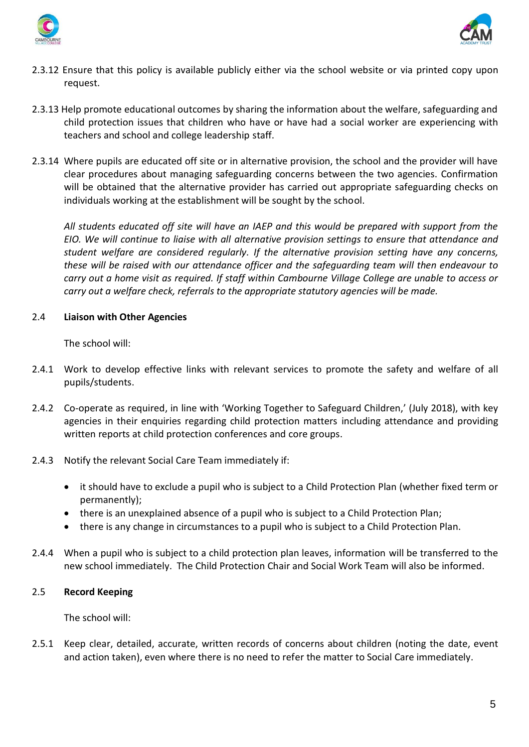



- 2.3.12 Ensure that this policy is available publicly either via the school website or via printed copy upon request.
- 2.3.13 Help promote educational outcomes by sharing the information about the welfare, safeguarding and child protection issues that children who have or have had a social worker are experiencing with teachers and school and college leadership staff.
- 2.3.14 Where pupils are educated off site or in alternative provision, the school and the provider will have clear procedures about managing safeguarding concerns between the two agencies. Confirmation will be obtained that the alternative provider has carried out appropriate safeguarding checks on individuals working at the establishment will be sought by the school.

*All students educated off site will have an IAEP and this would be prepared with support from the EIO. We will continue to liaise with all alternative provision settings to ensure that attendance and student welfare are considered regularly. If the alternative provision setting have any concerns, these will be raised with our attendance officer and the safeguarding team will then endeavour to carry out a home visit as required. If staff within Cambourne Village College are unable to access or carry out a welfare check, referrals to the appropriate statutory agencies will be made.*

# 2.4 **Liaison with Other Agencies**

The school will:

- 2.4.1 Work to develop effective links with relevant services to promote the safety and welfare of all pupils/students.
- 2.4.2 Co-operate as required, in line with 'Working Together to Safeguard Children,' (July 2018), with key agencies in their enquiries regarding child protection matters including attendance and providing written reports at child protection conferences and core groups.
- 2.4.3 Notify the relevant Social Care Team immediately if:
	- it should have to exclude a pupil who is subject to a Child Protection Plan (whether fixed term or permanently);
	- there is an unexplained absence of a pupil who is subject to a Child Protection Plan;
	- there is any change in circumstances to a pupil who is subject to a Child Protection Plan.
- 2.4.4 When a pupil who is subject to a child protection plan leaves, information will be transferred to the new school immediately. The Child Protection Chair and Social Work Team will also be informed.

# 2.5 **Record Keeping**

The school will:

2.5.1 Keep clear, detailed, accurate, written records of concerns about children (noting the date, event and action taken), even where there is no need to refer the matter to Social Care immediately.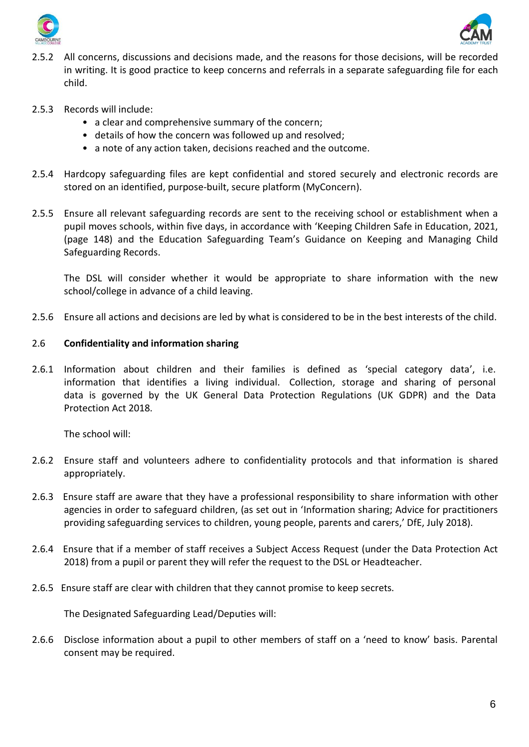



- 2.5.2 All concerns, discussions and decisions made, and the reasons for those decisions, will be recorded in writing. It is good practice to keep concerns and referrals in a separate safeguarding file for each child.
- 2.5.3 Records will include:
	- a clear and comprehensive summary of the concern;
	- details of how the concern was followed up and resolved;
	- a note of any action taken, decisions reached and the outcome.
- 2.5.4 Hardcopy safeguarding files are kept confidential and stored securely and electronic records are stored on an identified, purpose-built, secure platform (MyConcern).
- 2.5.5 Ensure all relevant safeguarding records are sent to the receiving school or establishment when a pupil moves schools, within five days, in accordance with 'Keeping Children Safe in Education, 2021, (page 148) and the Education Safeguarding Team's Guidance on Keeping and Managing Child Safeguarding Records.

The DSL will consider whether it would be appropriate to share information with the new school/college in advance of a child leaving.

2.5.6 Ensure all actions and decisions are led by what is considered to be in the best interests of the child.

#### 2.6 **Confidentiality and information sharing**

2.6.1 Information about children and their families is defined as 'special category data', i.e. information that identifies a living individual. Collection, storage and sharing of personal data is governed by the UK General Data Protection Regulations (UK GDPR) and the Data Protection Act 2018.

The school will:

- 2.6.2 Ensure staff and volunteers adhere to confidentiality protocols and that information is shared appropriately.
- 2.6.3 Ensure staff are aware that they have a professional responsibility to share information with other agencies in order to safeguard children, (as set out in 'Information sharing; Advice for practitioners providing safeguarding services to children, young people, parents and carers,' DfE, July 2018).
- 2.6.4 Ensure that if a member of staff receives a Subject Access Request (under the Data Protection Act 2018) from a pupil or parent they will refer the request to the DSL or Headteacher.
- 2.6.5 Ensure staff are clear with children that they cannot promise to keep secrets.

The Designated Safeguarding Lead/Deputies will:

2.6.6 Disclose information about a pupil to other members of staff on a 'need to know' basis. Parental consent may be required.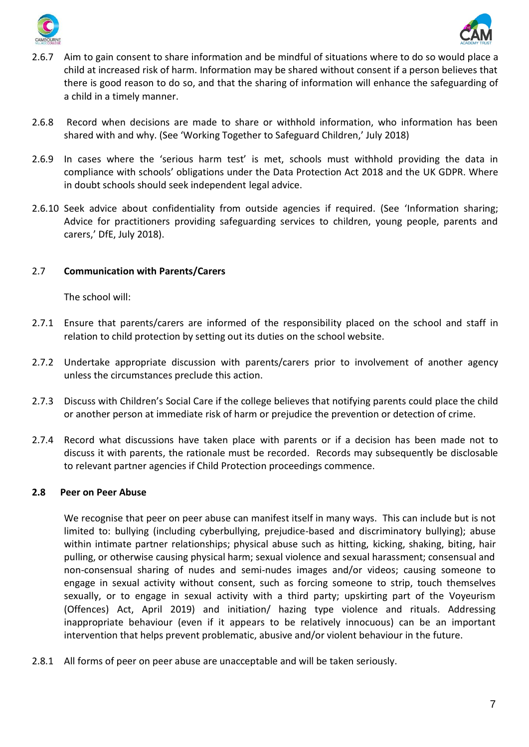



- 2.6.7 Aim to gain consent to share information and be mindful of situations where to do so would place a child at increased risk of harm. Information may be shared without consent if a person believes that there is good reason to do so, and that the sharing of information will enhance the safeguarding of a child in a timely manner.
- 2.6.8 Record when decisions are made to share or withhold information, who information has been shared with and why. (See 'Working Together to Safeguard Children,' July 2018)
- 2.6.9 In cases where the 'serious harm test' is met, schools must withhold providing the data in compliance with schools' obligations under the Data Protection Act 2018 and the UK GDPR. Where in doubt schools should seek independent legal advice.
- 2.6.10 Seek advice about confidentiality from outside agencies if required. (See 'Information sharing; Advice for practitioners providing safeguarding services to children, young people, parents and carers,' DfE, July 2018).

### 2.7 **Communication with Parents/Carers**

The school will:

- 2.7.1 Ensure that parents/carers are informed of the responsibility placed on the school and staff in relation to child protection by setting out its duties on the school website.
- 2.7.2 Undertake appropriate discussion with parents/carers prior to involvement of another agency unless the circumstances preclude this action.
- 2.7.3 Discuss with Children's Social Care if the college believes that notifying parents could place the child or another person at immediate risk of harm or prejudice the prevention or detection of crime.
- 2.7.4 Record what discussions have taken place with parents or if a decision has been made not to discuss it with parents, the rationale must be recorded. Records may subsequently be disclosable to relevant partner agencies if Child Protection proceedings commence.

#### **2.8 Peer on Peer Abuse**

We recognise that peer on peer abuse can manifest itself in many ways. This can include but is not limited to: bullying (including cyberbullying, prejudice-based and discriminatory bullying); abuse within intimate partner relationships; physical abuse such as hitting, kicking, shaking, biting, hair pulling, or otherwise causing physical harm; sexual violence and sexual harassment; consensual and non-consensual sharing of nudes and semi-nudes images and/or videos; causing someone to engage in sexual activity without consent, such as forcing someone to strip, touch themselves sexually, or to engage in sexual activity with a third party; upskirting part of the Voyeurism (Offences) Act, April 2019) and initiation/ hazing type violence and rituals. Addressing inappropriate behaviour (even if it appears to be relatively innocuous) can be an important intervention that helps prevent problematic, abusive and/or violent behaviour in the future.

2.8.1 All forms of peer on peer abuse are unacceptable and will be taken seriously.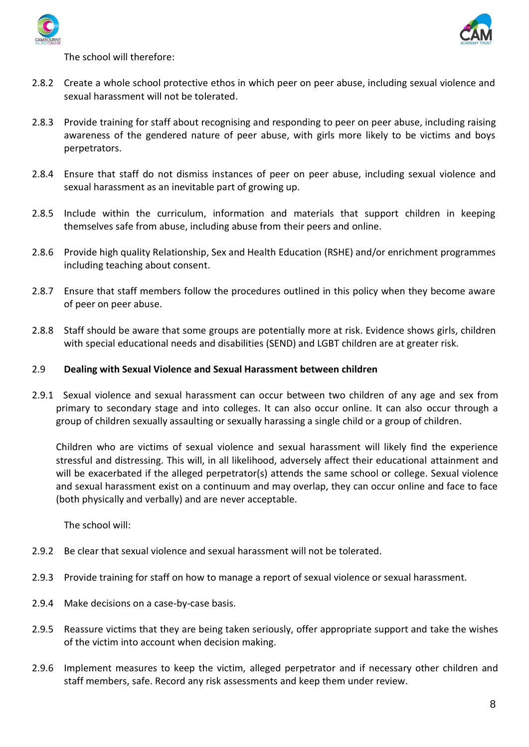



The school will therefore:

- 2.8.2 Create a whole school protective ethos in which peer on peer abuse, including sexual violence and sexual harassment will not be tolerated.
- 2.8.3 Provide training for staff about recognising and responding to peer on peer abuse, including raising awareness of the gendered nature of peer abuse, with girls more likely to be victims and boys perpetrators.
- 2.8.4 Ensure that staff do not dismiss instances of peer on peer abuse, including sexual violence and sexual harassment as an inevitable part of growing up.
- 2.8.5 Include within the curriculum, information and materials that support children in keeping themselves safe from abuse, including abuse from their peers and online.
- 2.8.6 Provide high quality Relationship, Sex and Health Education (RSHE) and/or enrichment programmes including teaching about consent.
- 2.8.7 Ensure that staff members follow the procedures outlined in this policy when they become aware of peer on peer abuse.
- 2.8.8 Staff should be aware that some groups are potentially more at risk. Evidence shows girls, children with special educational needs and disabilities (SEND) and LGBT children are at greater risk.

### 2.9 **Dealing with Sexual Violence and Sexual Harassment between children**

2.9.1 Sexual violence and sexual harassment can occur between two children of any age and sex from primary to secondary stage and into colleges. It can also occur online. It can also occur through a group of children sexually assaulting or sexually harassing a single child or a group of children.

Children who are victims of sexual violence and sexual harassment will likely find the experience stressful and distressing. This will, in all likelihood, adversely affect their educational attainment and will be exacerbated if the alleged perpetrator(s) attends the same school or college. Sexual violence and sexual harassment exist on a continuum and may overlap, they can occur online and face to face (both physically and verbally) and are never acceptable.

The school will:

- 2.9.2 Be clear that sexual violence and sexual harassment will not be tolerated.
- 2.9.3 Provide training for staff on how to manage a report of sexual violence or sexual harassment.
- 2.9.4 Make decisions on a case-by-case basis.
- 2.9.5 Reassure victims that they are being taken seriously, offer appropriate support and take the wishes of the victim into account when decision making.
- 2.9.6 Implement measures to keep the victim, alleged perpetrator and if necessary other children and staff members, safe. Record any risk assessments and keep them under review.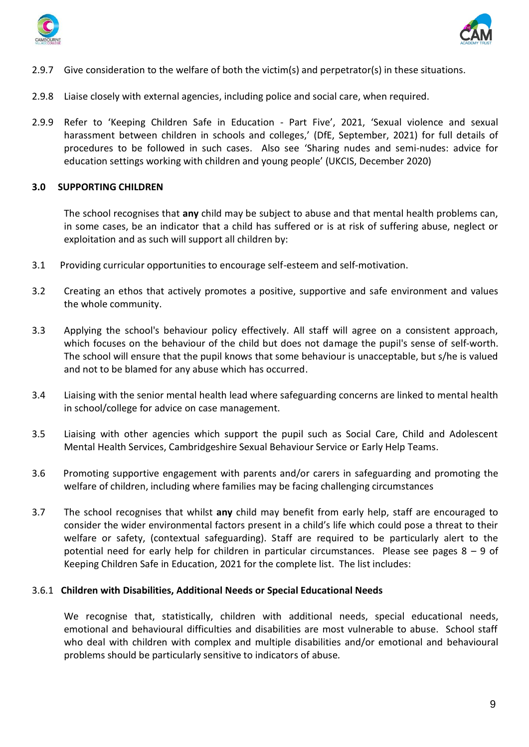



- 2.9.7 Give consideration to the welfare of both the victim(s) and perpetrator(s) in these situations.
- 2.9.8 Liaise closely with external agencies, including police and social care, when required.
- 2.9.9 Refer to 'Keeping Children Safe in Education Part Five', 2021, 'Sexual violence and sexual harassment between children in schools and colleges,' (DfE, September, 2021) for full details of procedures to be followed in such cases. Also see 'Sharing nudes and semi-nudes: advice for education settings working with children and young people' (UKCIS, December 2020)

#### **3.0 SUPPORTING CHILDREN**

The school recognises that **any** child may be subject to abuse and that mental health problems can, in some cases, be an indicator that a child has suffered or is at risk of suffering abuse, neglect or exploitation and as such will support all children by:

- 3.1 Providing curricular opportunities to encourage self-esteem and self-motivation.
- 3.2 Creating an ethos that actively promotes a positive, supportive and safe environment and values the whole community.
- 3.3 Applying the school's behaviour policy effectively. All staff will agree on a consistent approach, which focuses on the behaviour of the child but does not damage the pupil's sense of self-worth. The school will ensure that the pupil knows that some behaviour is unacceptable, but s/he is valued and not to be blamed for any abuse which has occurred.
- 3.4 Liaising with the senior mental health lead where safeguarding concerns are linked to mental health in school/college for advice on case management.
- 3.5 Liaising with other agencies which support the pupil such as Social Care, Child and Adolescent Mental Health Services, Cambridgeshire Sexual Behaviour Service or Early Help Teams.
- 3.6 Promoting supportive engagement with parents and/or carers in safeguarding and promoting the welfare of children, including where families may be facing challenging circumstances
- 3.7 The school recognises that whilst **any** child may benefit from early help, staff are encouraged to consider the wider environmental factors present in a child's life which could pose a threat to their welfare or safety, (contextual safeguarding). Staff are required to be particularly alert to the potential need for early help for children in particular circumstances. Please see pages  $8 - 9$  of Keeping Children Safe in Education, 2021 for the complete list. The list includes:

#### 3.6.1 **Children with Disabilities, Additional Needs or Special Educational Needs**

We recognise that, statistically, children with additional needs, special educational needs, emotional and behavioural difficulties and disabilities are most vulnerable to abuse. School staff who deal with children with complex and multiple disabilities and/or emotional and behavioural problems should be particularly sensitive to indicators of abuse*.*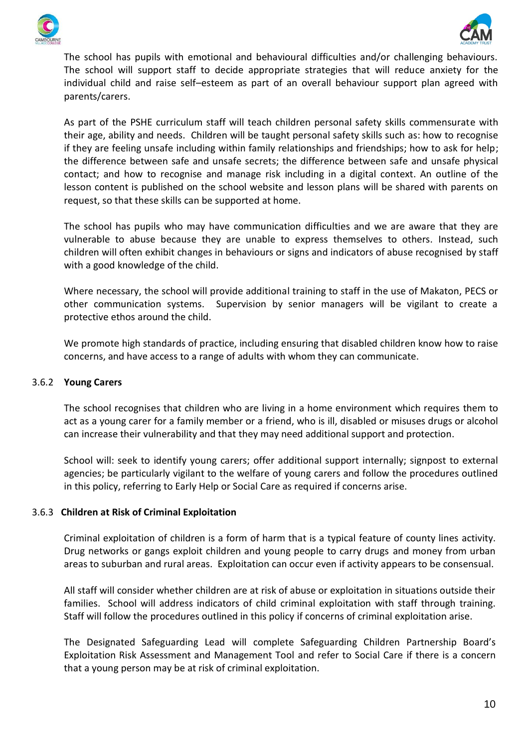



The school has pupils with emotional and behavioural difficulties and/or challenging behaviours. The school will support staff to decide appropriate strategies that will reduce anxiety for the individual child and raise self–esteem as part of an overall behaviour support plan agreed with parents/carers.

As part of the PSHE curriculum staff will teach children personal safety skills commensurate with their age, ability and needs. Children will be taught personal safety skills such as: how to recognise if they are feeling unsafe including within family relationships and friendships; how to ask for help; the difference between safe and unsafe secrets; the difference between safe and unsafe physical contact; and how to recognise and manage risk including in a digital context. An outline of the lesson content is published on the school website and lesson plans will be shared with parents on request, so that these skills can be supported at home.

The school has pupils who may have communication difficulties and we are aware that they are vulnerable to abuse because they are unable to express themselves to others. Instead, such children will often exhibit changes in behaviours or signs and indicators of abuse recognised by staff with a good knowledge of the child.

Where necessary, the school will provide additional training to staff in the use of Makaton, PECS or other communication systems. Supervision by senior managers will be vigilant to create a protective ethos around the child.

We promote high standards of practice, including ensuring that disabled children know how to raise concerns, and have access to a range of adults with whom they can communicate.

#### 3.6.2 **Young Carers**

The school recognises that children who are living in a home environment which requires them to act as a young carer for a family member or a friend, who is ill, disabled or misuses drugs or alcohol can increase their vulnerability and that they may need additional support and protection.

School will: seek to identify young carers; offer additional support internally; signpost to external agencies; be particularly vigilant to the welfare of young carers and follow the procedures outlined in this policy, referring to Early Help or Social Care as required if concerns arise.

# 3.6.3 **Children at Risk of Criminal Exploitation**

Criminal exploitation of children is a form of harm that is a typical feature of county lines activity. Drug networks or gangs exploit children and young people to carry drugs and money from urban areas to suburban and rural areas. Exploitation can occur even if activity appears to be consensual.

All staff will consider whether children are at risk of abuse or exploitation in situations outside their families. School will address indicators of child criminal exploitation with staff through training. Staff will follow the procedures outlined in this policy if concerns of criminal exploitation arise.

The Designated Safeguarding Lead will complete Safeguarding Children Partnership Board's [Exploitation Risk Assessment and Management Tool](http://www.safeguardingcambspeterborough.org.uk/wp-content/uploads/2018/05/Exploitation-CSECCE-Risk-Assessment-Tool.docx) and refer to Social Care if there is a concern that a young person may be at risk of criminal exploitation.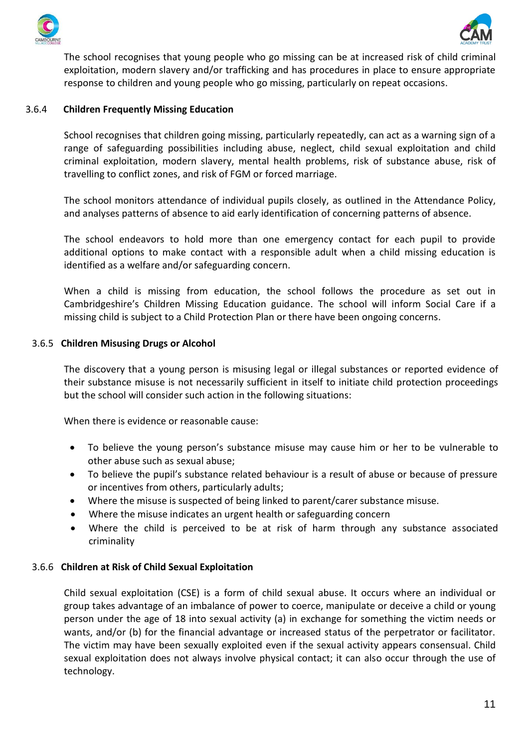



The school recognises that young people who go missing can be at increased risk of child criminal exploitation, modern slavery and/or trafficking and has procedures in place to ensure appropriate response to children and young people who go missing, particularly on repeat occasions.

### 3.6.4 **Children Frequently Missing Education**

School recognises that children going missing, particularly repeatedly, can act as a warning sign of a range of safeguarding possibilities including abuse, neglect, child sexual exploitation and child criminal exploitation, modern slavery, mental health problems, risk of substance abuse, risk of travelling to conflict zones, and risk of FGM or forced marriage.

The school monitors attendance of individual pupils closely, as outlined in the Attendance Policy, and analyses patterns of absence to aid early identification of concerning patterns of absence.

The school endeavors to hold more than one emergency contact for each pupil to provide additional options to make contact with a responsible adult when a child missing education is identified as a welfare and/or safeguarding concern.

When a child is missing from education, the school follows the procedure as set out in Cambridgeshire's Children Missing Education guidance. The school will inform Social Care if a missing child is subject to a Child Protection Plan or there have been ongoing concerns.

#### 3.6.5 **Children Misusing Drugs or Alcohol**

The discovery that a young person is misusing legal or illegal substances or reported evidence of their substance misuse is not necessarily sufficient in itself to initiate child protection proceedings but the school will consider such action in the following situations:

When there is evidence or reasonable cause:

- To believe the young person's substance misuse may cause him or her to be vulnerable to other abuse such as sexual abuse;
- To believe the pupil's substance related behaviour is a result of abuse or because of pressure or incentives from others, particularly adults;
- Where the misuse is suspected of being linked to parent/carer substance misuse.
- Where the misuse indicates an urgent health or safeguarding concern
- Where the child is perceived to be at risk of harm through any substance associated criminality

#### 3.6.6 **Children at Risk of Child Sexual Exploitation**

Child sexual exploitation (CSE) is a form of child sexual abuse. It occurs where an individual or group takes advantage of an imbalance of power to coerce, manipulate or deceive a child or young person under the age of 18 into sexual activity (a) in exchange for something the victim needs or wants, and/or (b) for the financial advantage or increased status of the perpetrator or facilitator. The victim may have been sexually exploited even if the sexual activity appears consensual. Child sexual exploitation does not always involve physical contact; it can also occur through the use of technology.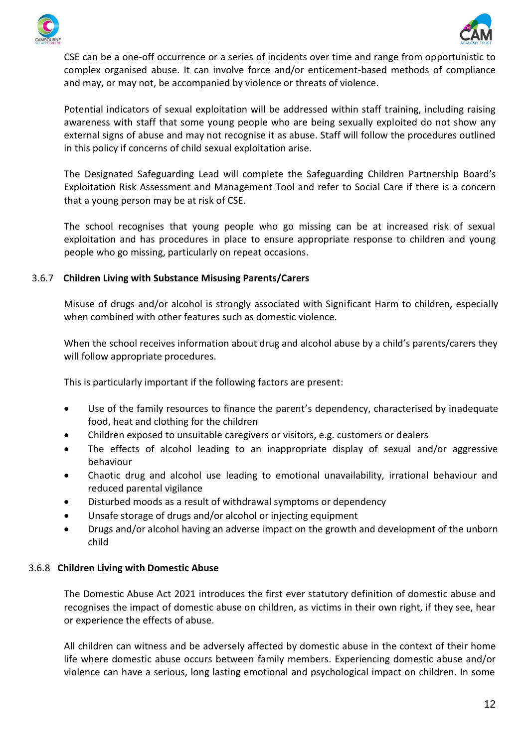



CSE can be a one-off occurrence or a series of incidents over time and range from opportunistic to complex organised abuse. It can involve force and/or enticement-based methods of compliance and may, or may not, be accompanied by violence or threats of violence.

Potential indicators of sexual exploitation will be addressed within staff training, including raising awareness with staff that some young people who are being sexually exploited do not show any external signs of abuse and may not recognise it as abuse. Staff will follow the procedures outlined in this policy if concerns of child sexual exploitation arise.

The Designated Safeguarding Lead will complete the Safeguarding Children Partnership Board's [Exploitation Risk Assessment and Management](http://www.safeguardingcambspeterborough.org.uk/wp-content/uploads/2018/05/Exploitation-CSECCE-Risk-Assessment-Tool.docx) Tool and refer to Social Care if there is a concern that a young person may be at risk of CSE.

The school recognises that young people who go missing can be at increased risk of sexual exploitation and has procedures in place to ensure appropriate response to children and young people who go missing, particularly on repeat occasions.

### 3.6.7 **Children Living with Substance Misusing Parents/Carers**

Misuse of drugs and/or alcohol is strongly associated with Significant Harm to children, especially when combined with other features such as domestic violence.

When the school receives information about drug and alcohol abuse by a child's parents/carers they will follow appropriate procedures.

This is particularly important if the following factors are present:

- Use of the family resources to finance the parent's dependency, characterised by inadequate food, heat and clothing for the children
- Children exposed to unsuitable caregivers or visitors, e.g. customers or dealers
- The effects of alcohol leading to an inappropriate display of sexual and/or aggressive behaviour
- Chaotic drug and alcohol use leading to emotional unavailability, irrational behaviour and reduced parental vigilance
- Disturbed moods as a result of withdrawal symptoms or dependency
- Unsafe storage of drugs and/or alcohol or injecting equipment
- Drugs and/or alcohol having an adverse impact on the growth and development of the unborn child

#### 3.6.8 **Children Living with Domestic Abuse**

The Domestic Abuse Act 2021 introduces the first ever statutory definition of domestic abuse and recognises the impact of domestic abuse on children, as victims in their own right, if they see, hear or experience the effects of abuse.

All children can witness and be adversely affected by domestic abuse in the context of their home life where domestic abuse occurs between family members. Experiencing domestic abuse and/or violence can have a serious, long lasting emotional and psychological impact on children. In some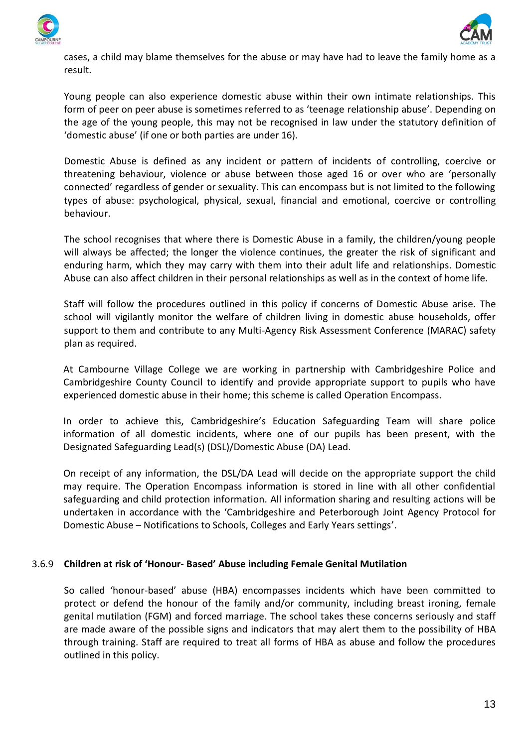



cases, a child may blame themselves for the abuse or may have had to leave the family home as a result.

Young people can also experience domestic abuse within their own intimate relationships. This form of peer on peer abuse is sometimes referred to as 'teenage relationship abuse'. Depending on the age of the young people, this may not be recognised in law under the statutory definition of 'domestic abuse' (if one or both parties are under 16).

Domestic Abuse is defined as any incident or pattern of incidents of controlling, coercive or threatening behaviour, violence or abuse between those aged 16 or over who are 'personally connected' regardless of gender or sexuality. This can encompass but is not limited to the following types of abuse: psychological, physical, sexual, financial and emotional, coercive or controlling behaviour.

The school recognises that where there is Domestic Abuse in a family, the children/young people will always be affected; the longer the violence continues, the greater the risk of significant and enduring harm, which they may carry with them into their adult life and relationships. Domestic Abuse can also affect children in their personal relationships as well as in the context of home life.

Staff will follow the procedures outlined in this policy if concerns of Domestic Abuse arise. The school will vigilantly monitor the welfare of children living in domestic abuse households, offer support to them and contribute to any Multi-Agency Risk Assessment Conference (MARAC) safety plan as required.

At Cambourne Village College we are working in partnership with Cambridgeshire Police and Cambridgeshire County Council to identify and provide appropriate support to pupils who have experienced domestic abuse in their home; this scheme is called Operation Encompass.

In order to achieve this, Cambridgeshire's Education Safeguarding Team will share police information of all domestic incidents, where one of our pupils has been present, with the Designated Safeguarding Lead(s) (DSL)/Domestic Abuse (DA) Lead.

On receipt of any information, the DSL/DA Lead will decide on the appropriate support the child may require. The Operation Encompass information is stored in line with all other confidential safeguarding and child protection information. All information sharing and resulting actions will be undertaken in accordance with the 'Cambridgeshire and Peterborough Joint Agency Protocol for Domestic Abuse – Notifications to Schools, Colleges and Early Years settings'.

#### 3.6.9 **Children at risk of 'Honour- Based' Abuse including Female Genital Mutilation**

So called 'honour-based' abuse (HBA) encompasses incidents which have been committed to protect or defend the honour of the family and/or community, including breast ironing, female genital mutilation (FGM) and forced marriage. The school takes these concerns seriously and staff are made aware of the possible signs and indicators that may alert them to the possibility of HBA through training. Staff are required to treat all forms of HBA as abuse and follow the procedures outlined in this policy.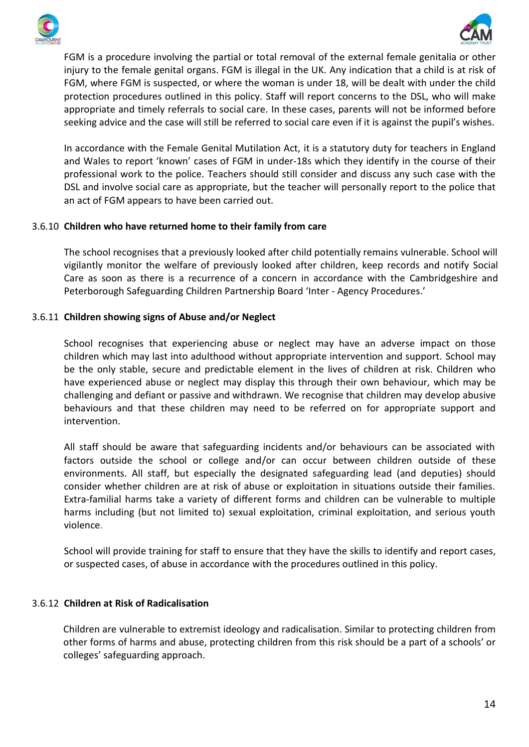



FGM is a procedure involving the partial or total removal of the external female genitalia or other injury to the female genital organs. FGM is illegal in the UK. Any indication that a child is at risk of FGM, where FGM is suspected, or where the woman is under 18, will be dealt with under the child protection procedures outlined in this policy. Staff will report concerns to the DSL, who will make appropriate and timely referrals to social care. In these cases, parents will not be informed before seeking advice and the case will still be referred to social care even if it is against the pupil's wishes.

In accordance with the Female Genital Mutilation Act, it is a statutory duty for teachers in England and Wales to report 'known' cases of FGM in under-18s which they identify in the course of their professional work to the police. Teachers should still consider and discuss any such case with the DSL and involve social care as appropriate, but the teacher will personally report to the police that an act of FGM appears to have been carried out.

### 3.6.10 **Children who have returned home to their family from care**

The school recognises that a previously looked after child potentially remains vulnerable. School will vigilantly monitor the welfare of previously looked after children, keep records and notify Social Care as soon as there is a recurrence of a concern in accordance with the Cambridgeshire and Peterborough Safeguarding Children Partnership Board 'Inter - Agency Procedures.'

# 3.6.11 **Children showing signs of Abuse and/or Neglect**

School recognises that experiencing abuse or neglect may have an adverse impact on those children which may last into adulthood without appropriate intervention and support. School may be the only stable, secure and predictable element in the lives of children at risk. Children who have experienced abuse or neglect may display this through their own behaviour, which may be challenging and defiant or passive and withdrawn. We recognise that children may develop abusive behaviours and that these children may need to be referred on for appropriate support and intervention.

All staff should be aware that safeguarding incidents and/or behaviours can be associated with factors outside the school or college and/or can occur between children outside of these environments. All staff, but especially the designated safeguarding lead (and deputies) should consider whether children are at risk of abuse or exploitation in situations outside their families. Extra-familial harms take a variety of different forms and children can be vulnerable to multiple harms including (but not limited to) sexual exploitation, criminal exploitation, and serious youth violence.

School will provide training for staff to ensure that they have the skills to identify and report cases, or suspected cases, of abuse in accordance with the procedures outlined in this policy.

#### 3.6.12 **Children at Risk of Radicalisation**

Children are vulnerable to extremist ideology and radicalisation. Similar to protecting children from other forms of harms and abuse, protecting children from this risk should be a part of a schools' or colleges' safeguarding approach.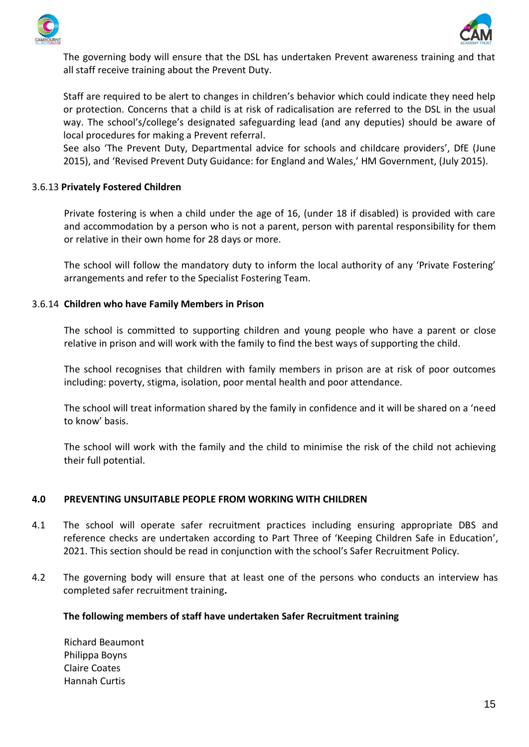



The governing body will ensure that the DSL has undertaken Prevent awareness training and that all staff receive training about the Prevent Duty.

Staff are required to be alert to changes in children's behavior which could indicate they need help or protection. Concerns that a child is at risk of radicalisation are referred to the DSL in the usual way. The school's/college's designated safeguarding lead (and any deputies) should be aware of local procedures for making a Prevent referral.

See also 'The Prevent Duty, Departmental advice for schools and childcare providers', DfE (June 2015), and 'Revised Prevent Duty Guidance: for England and Wales,' HM Government, (July 2015).

### 3.6.13 **Privately Fostered Children**

Private fostering is when a child under the age of 16, (under 18 if disabled) is provided with care and accommodation by a person who is not a parent, person with parental responsibility for them or relative in their own home for 28 days or more.

The school will follow the mandatory duty to inform the local authority of any 'Private Fostering' arrangements and refer to the Specialist Fostering Team.

### 3.6.14 **Children who have Family Members in Prison**

The school is committed to supporting children and young people who have a parent or close relative in prison and will work with the family to find the best ways of supporting the child.

The school recognises that children with family members in prison are at risk of poor outcomes including: poverty, stigma, isolation, poor mental health and poor attendance.

The school will treat information shared by the family in confidence and it will be shared on a 'need to know' basis.

The school will work with the family and the child to minimise the risk of the child not achieving their full potential.

#### **4.0 PREVENTING UNSUITABLE PEOPLE FROM WORKING WITH CHILDREN**

- 4.1 The school will operate safer recruitment practices including ensuring appropriate DBS and reference checks are undertaken according to Part Three of 'Keeping Children Safe in Education', 2021. This section should be read in conjunction with the school's Safer Recruitment Policy.
- 4.2 The governing body will ensure that at least one of the persons who conducts an interview has completed safer recruitment training**.**

#### **The following members of staff have undertaken Safer Recruitment training**

Richard Beaumont Philippa Boyns Claire Coates Hannah Curtis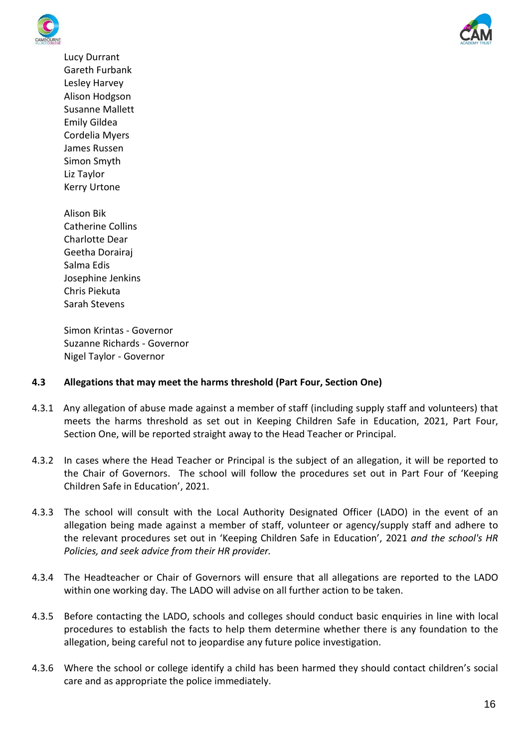



Lucy Durrant Gareth Furbank Lesley Harvey Alison Hodgson Susanne Mallett Emily Gildea Cordelia Myers James Russen Simon Smyth Liz Taylor Kerry Urtone

Alison Bik Catherine Collins Charlotte Dear Geetha Dorairaj Salma Edis Josephine Jenkins Chris Piekuta Sarah Stevens

Simon Krintas - Governor Suzanne Richards - Governor Nigel Taylor - Governor

# **4.3 Allegations that may meet the harms threshold (Part Four, Section One)**

- 4.3.1 Any allegation of abuse made against a member of staff (including supply staff and volunteers) that meets the harms threshold as set out in Keeping Children Safe in Education, 2021, Part Four, Section One, will be reported straight away to the Head Teacher or Principal.
- 4.3.2 In cases where the Head Teacher or Principal is the subject of an allegation, it will be reported to the Chair of Governors. The school will follow the procedures set out in Part Four of 'Keeping Children Safe in Education', 2021.
- 4.3.3 The school will consult with the Local Authority Designated Officer (LADO) in the event of an allegation being made against a member of staff, volunteer or agency/supply staff and adhere to the relevant procedures set out in 'Keeping Children Safe in Education', 2021 *and the school's HR Policies, and seek advice from their HR provider.*
- 4.3.4 The Headteacher or Chair of Governors will ensure that all allegations are reported to the LADO within one working day. The LADO will advise on all further action to be taken.
- 4.3.5 Before contacting the LADO, schools and colleges should conduct basic enquiries in line with local procedures to establish the facts to help them determine whether there is any foundation to the allegation, being careful not to jeopardise any future police investigation.
- 4.3.6 Where the school or college identify a child has been harmed they should contact children's social care and as appropriate the police immediately.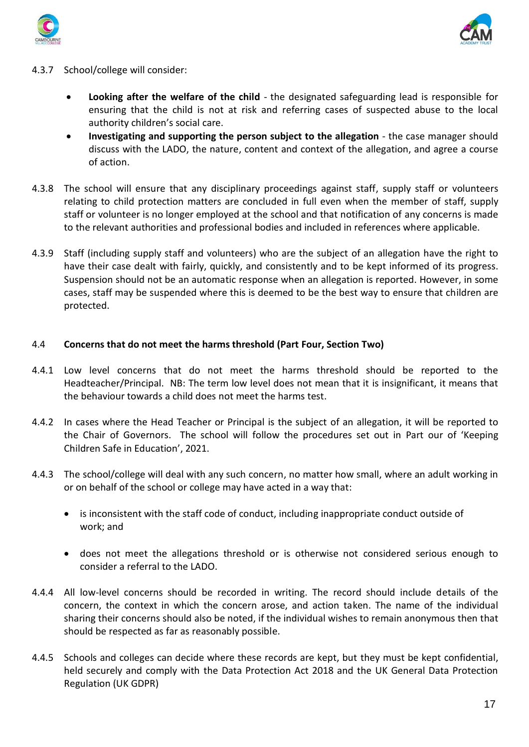



- 4.3.7 School/college will consider:
	- **Looking after the welfare of the child** the designated safeguarding lead is responsible for ensuring that the child is not at risk and referring cases of suspected abuse to the local authority children's social care.
	- **Investigating and supporting the person subject to the allegation** the case manager should discuss with the LADO, the nature, content and context of the allegation, and agree a course of action.
- 4.3.8 The school will ensure that any disciplinary proceedings against staff, supply staff or volunteers relating to child protection matters are concluded in full even when the member of staff, supply staff or volunteer is no longer employed at the school and that notification of any concerns is made to the relevant authorities and professional bodies and included in references where applicable.
- 4.3.9 Staff (including supply staff and volunteers) who are the subject of an allegation have the right to have their case dealt with fairly, quickly, and consistently and to be kept informed of its progress. Suspension should not be an automatic response when an allegation is reported. However, in some cases, staff may be suspended where this is deemed to be the best way to ensure that children are protected.

# 4.4 **Concerns that do not meet the harms threshold (Part Four, Section Two)**

- 4.4.1 Low level concerns that do not meet the harms threshold should be reported to the Headteacher/Principal. NB: The term low level does not mean that it is insignificant, it means that the behaviour towards a child does not meet the harms test.
- 4.4.2 In cases where the Head Teacher or Principal is the subject of an allegation, it will be reported to the Chair of Governors. The school will follow the procedures set out in Part our of 'Keeping Children Safe in Education', 2021.
- 4.4.3 The school/college will deal with any such concern, no matter how small, where an adult working in or on behalf of the school or college may have acted in a way that:
	- is inconsistent with the staff code of conduct, including inappropriate conduct outside of work; and
	- does not meet the allegations threshold or is otherwise not considered serious enough to consider a referral to the LADO.
- 4.4.4 All low-level concerns should be recorded in writing. The record should include details of the concern, the context in which the concern arose, and action taken. The name of the individual sharing their concerns should also be noted, if the individual wishes to remain anonymous then that should be respected as far as reasonably possible.
- 4.4.5 Schools and colleges can decide where these records are kept, but they must be kept confidential, held securely and comply with the Data Protection Act 2018 and the UK General Data Protection Regulation (UK GDPR)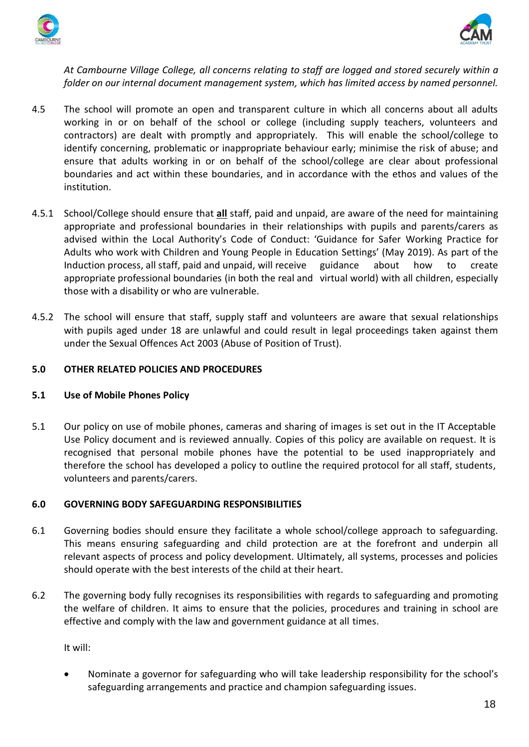



*At Cambourne Village College, all concerns relating to staff are logged and stored securely within a folder on our internal document management system, which has limited access by named personnel.* 

- 4.5 The school will promote an open and transparent culture in which all concerns about all adults working in or on behalf of the school or college (including supply teachers, volunteers and contractors) are dealt with promptly and appropriately. This will enable the school/college to identify concerning, problematic or inappropriate behaviour early; minimise the risk of abuse; and ensure that adults working in or on behalf of the school/college are clear about professional boundaries and act within these boundaries, and in accordance with the ethos and values of the institution.
- 4.5.1 School/College should ensure that **all** staff, paid and unpaid, are aware of the need for maintaining appropriate and professional boundaries in their relationships with pupils and parents/carers as advised within the Local Authority's Code of Conduct: 'Guidance for Safer Working Practice for Adults who work with Children and Young People in Education Settings' (May 2019). As part of the Induction process, all staff, paid and unpaid, will receive guidance about how to create appropriate professional boundaries (in both the real and virtual world) with all children, especially those with a disability or who are vulnerable.
- 4.5.2 The school will ensure that staff, supply staff and volunteers are aware that sexual relationships with pupils aged under 18 are unlawful and could result in legal proceedings taken against them under the Sexual Offences Act 2003 (Abuse of Position of Trust).

### **5.0 OTHER RELATED POLICIES AND PROCEDURES**

#### **5.1 Use of Mobile Phones Policy**

5.1 Our policy on use of mobile phones, cameras and sharing of images is set out in the IT Acceptable Use Policy document and is reviewed annually. Copies of this policy are available on request. It is recognised that personal mobile phones have the potential to be used inappropriately and therefore the school has developed a policy to outline the required protocol for all staff, students, volunteers and parents/carers.

# **6.0 GOVERNING BODY SAFEGUARDING RESPONSIBILITIES**

- 6.1 Governing bodies should ensure they facilitate a whole school/college approach to safeguarding. This means ensuring safeguarding and child protection are at the forefront and underpin all relevant aspects of process and policy development. Ultimately, all systems, processes and policies should operate with the best interests of the child at their heart.
- 6.2 The governing body fully recognises its responsibilities with regards to safeguarding and promoting the welfare of children. It aims to ensure that the policies, procedures and training in school are effective and comply with the law and government guidance at all times.

It will:

• Nominate a governor for safeguarding who will take leadership responsibility for the school's safeguarding arrangements and practice and champion safeguarding issues.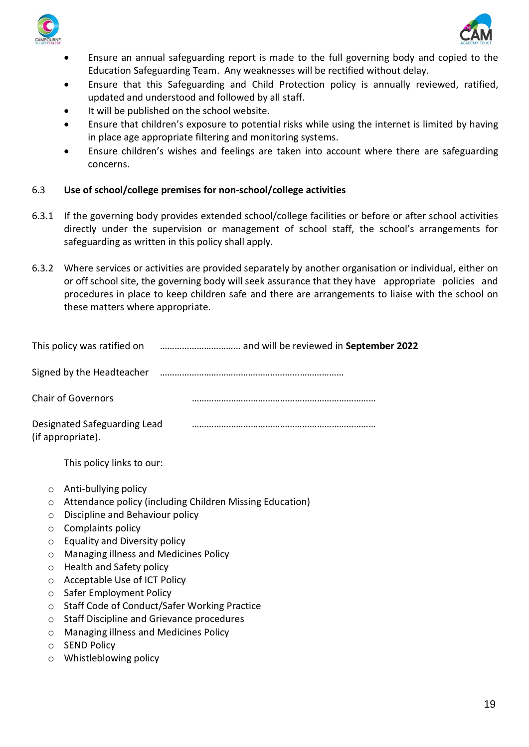



- Ensure an annual safeguarding report is made to the full governing body and copied to the Education Safeguarding Team. Any weaknesses will be rectified without delay.
- Ensure that this Safeguarding and Child Protection policy is annually reviewed, ratified, updated and understood and followed by all staff.
- It will be published on the school website.
- Ensure that children's exposure to potential risks while using the internet is limited by having in place age appropriate filtering and monitoring systems.
- Ensure children's wishes and feelings are taken into account where there are safeguarding concerns.

# 6.3 **Use of school/college premises for non-school/college activities**

- 6.3.1 If the governing body provides extended school/college facilities or before or after school activities directly under the supervision or management of school staff, the school's arrangements for safeguarding as written in this policy shall apply.
- 6.3.2 Where services or activities are provided separately by another organisation or individual, either on or off school site, the governing body will seek assurance that they have appropriate policies and procedures in place to keep children safe and there are arrangements to liaise with the school on these matters where appropriate.

| This policy was ratified on <i></i> and will be reviewed in <b>September 2022</b> |  |
|-----------------------------------------------------------------------------------|--|
| Signed by the Headteacher                                                         |  |
| <b>Chair of Governors</b>                                                         |  |
| Designated Safeguarding Lead<br>(if appropriate).                                 |  |
| This policy links to our:                                                         |  |
| Anti-bullying policy<br>$\circ$                                                   |  |
| Attendance policy (including Children Missing Education)<br>$\circ$               |  |
| Discipline and Behaviour policy<br>$\circ$                                        |  |
| Complaints policy<br>$\circ$                                                      |  |
| <b>Equality and Diversity policy</b><br>$\circ$                                   |  |
| Managing illness and Medicines Policy<br>$\circ$                                  |  |
| Health and Safety policy<br>$\circ$                                               |  |
| Acceptable Use of ICT Policy<br>$\circ$                                           |  |
| Safer Employment Policy<br>$\circ$                                                |  |
| Staff Code of Conduct/Safer Working Practice<br>$\circ$                           |  |
| Staff Discipline and Grievance procedures<br>$\circ$                              |  |
| Managing illness and Medicines Policy<br>$\circ$                                  |  |
| <b>SEND Policy</b><br>$\circ$                                                     |  |

o Whistleblowing policy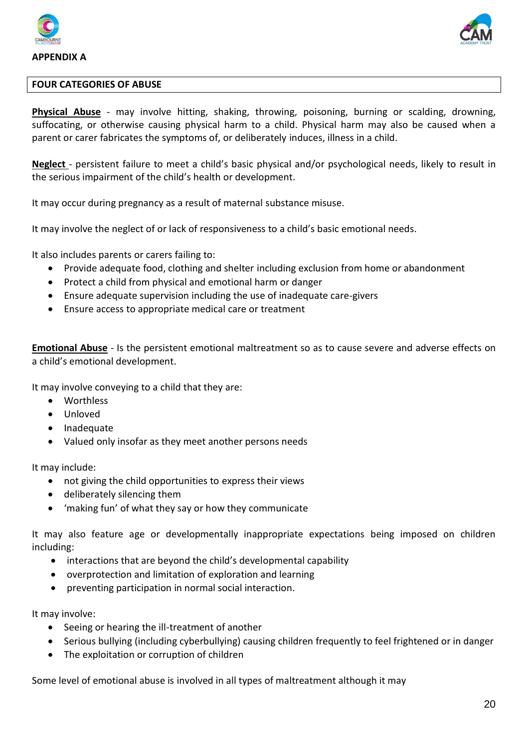



#### **FOUR CATEGORIES OF ABUSE**

**Physical Abuse** - may involve hitting, shaking, throwing, poisoning, burning or scalding, drowning, suffocating, or otherwise causing physical harm to a child. Physical harm may also be caused when a parent or carer fabricates the symptoms of, or deliberately induces, illness in a child.

**Neglect** - persistent failure to meet a child's basic physical and/or psychological needs, likely to result in the serious impairment of the child's health or development.

It may occur during pregnancy as a result of maternal substance misuse.

It may involve the neglect of or lack of responsiveness to a child's basic emotional needs.

It also includes parents or carers failing to:

- Provide adequate food, clothing and shelter including exclusion from home or abandonment
- Protect a child from physical and emotional harm or danger
- Ensure adequate supervision including the use of inadequate care-givers
- Ensure access to appropriate medical care or treatment

**Emotional Abuse** - Is the persistent emotional maltreatment so as to cause severe and adverse effects on a child's emotional development.

It may involve conveying to a child that they are:

- Worthless
- Unloved
- Inadequate
- Valued only insofar as they meet another persons needs

It may include:

- not giving the child opportunities to express their views
- deliberately silencing them
- 'making fun' of what they say or how they communicate

It may also feature age or developmentally inappropriate expectations being imposed on children including:

- interactions that are beyond the child's developmental capability
- overprotection and limitation of exploration and learning
- preventing participation in normal social interaction.

It may involve:

- Seeing or hearing the ill-treatment of another
- Serious bullying (including cyberbullying) causing children frequently to feel frightened or in danger
- The exploitation or corruption of children

Some level of emotional abuse is involved in all types of maltreatment although it may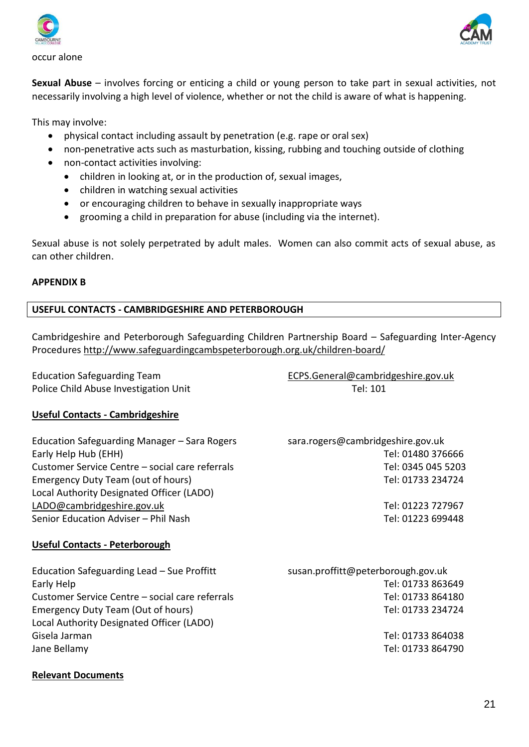



**Sexual Abuse** – involves forcing or enticing a child or young person to take part in sexual activities, not necessarily involving a high level of violence, whether or not the child is aware of what is happening.

This may involve:

- physical contact including assault by penetration (e.g. rape or oral sex)
- non-penetrative acts such as masturbation, kissing, rubbing and touching outside of clothing
- non-contact activities involving:
	- children in looking at, or in the production of, sexual images,
	- children in watching sexual activities
	- or encouraging children to behave in sexually inappropriate ways
	- grooming a child in preparation for abuse (including via the internet).

Sexual abuse is not solely perpetrated by adult males. Women can also commit acts of sexual abuse, as can other children.

### **APPENDIX B**

# **USEFUL CONTACTS - CAMBRIDGESHIRE AND PETERBOROUGH**

Cambridgeshire and Peterborough Safeguarding Children Partnership Board – Safeguarding Inter-Agency Procedures<http://www.safeguardingcambspeterborough.org.uk/children-board/>

| <b>Education Safeguarding Team</b>              | ECPS.General@cambridgeshire.gov.uk |
|-------------------------------------------------|------------------------------------|
| Police Child Abuse Investigation Unit           | Tel: 101                           |
| <b>Useful Contacts - Cambridgeshire</b>         |                                    |
| Education Safeguarding Manager - Sara Rogers    | sara.rogers@cambridgeshire.gov.uk  |
| Early Help Hub (EHH)                            | Tel: 01480 376666                  |
| Customer Service Centre - social care referrals | Tel: 0345 045 5203                 |
| Emergency Duty Team (out of hours)              | Tel: 01733 234724                  |
| Local Authority Designated Officer (LADO)       |                                    |
| LADO@cambridgeshire.gov.uk                      | Tel: 01223 727967                  |
| Senior Education Adviser - Phil Nash            | Tel: 01223 699448                  |
| <b>Useful Contacts - Peterborough</b>           |                                    |
| Education Safeguarding Lead - Sue Proffitt      | susan.proffitt@peterborough.gov.uk |
| Early Help                                      | Tel: 01733 863649                  |
| Customer Service Centre - social care referrals | Tel: 01733 864180                  |
| Emergency Duty Team (Out of hours)              | Tel: 01733 234724                  |
| Local Authority Designated Officer (LADO)       |                                    |
| Gisela Jarman                                   | Tel: 01733 864038                  |
| Jane Bellamy                                    | Tel: 01733 864790                  |
|                                                 |                                    |

# **Relevant Documents**